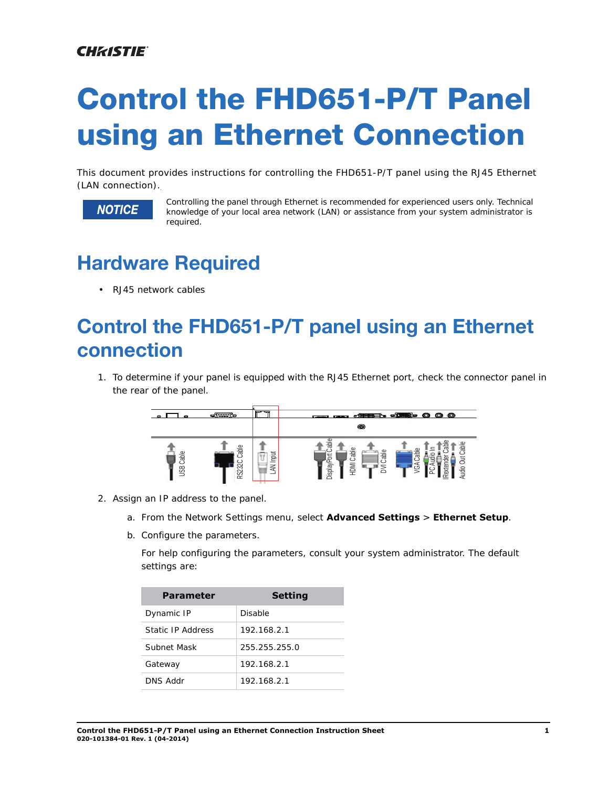#### **CHRISTIE®**

# **Control the FHD651-P/T Panel using an Ethernet Connection**

This document provides instructions for controlling the FHD651-P/T panel using the RJ45 Ethernet (LAN connection).

#### **NOTICE**

Controlling the panel through Ethernet is recommended for experienced users only. Technical knowledge of your local area network (LAN) or assistance from your system administrator is required.

#### **Hardware Required**

• RJ45 network cables

## **Control the FHD651-P/T panel using an Ethernet connection**

1. To determine if your panel is equipped with the RJ45 Ethernet port, check the connector panel in the rear of the panel.



- 2. Assign an IP address to the panel.
	- a. From the Network Settings menu, select **Advanced Settings** > **Ethernet Setup**.
	- b. Configure the parameters.

For help configuring the parameters, consult your system administrator. The default settings are:

| an IP address to the panel.                                   |  |
|---------------------------------------------------------------|--|
|                                                               |  |
| From the Network Settings menu, select Adv                    |  |
| Configure the parameters.                                     |  |
| For help configuring the parameters, consult<br>settings are: |  |
| <b>Setting</b><br>Parameter                                   |  |
| Disable<br>Dynamic IP                                         |  |
|                                                               |  |
| Static IP Address<br>192.168.2.1                              |  |
| Subnet Mask<br>255.255.255.0                                  |  |
| 192.168.2.1<br>Gateway                                        |  |
| <b>DNS Addr</b><br>192.168.2.1                                |  |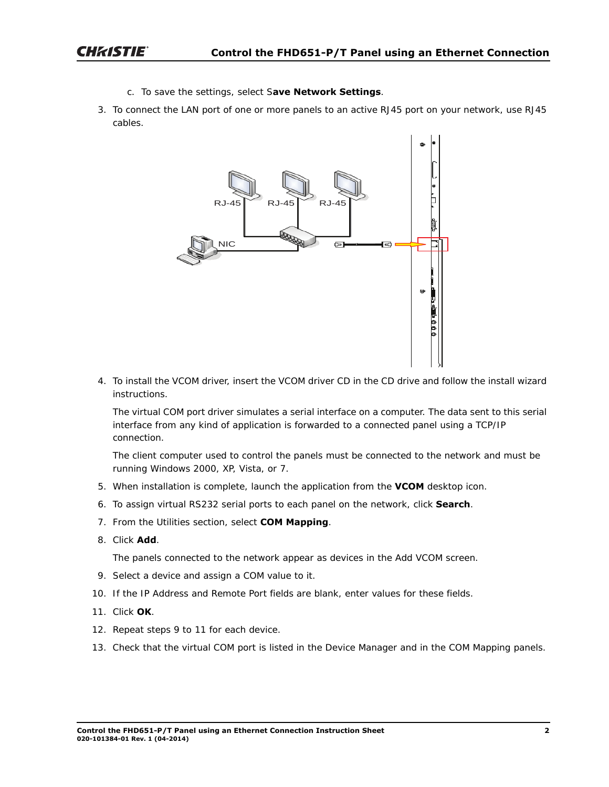- c. To save the settings, select S**ave Network Settings**.
- 3. To connect the LAN port of one or more panels to an active RJ45 port on your network, use RJ45 cables.



4. To install the VCOM driver, insert the VCOM driver CD in the CD drive and follow the install wizard instructions.

The virtual COM port driver simulates a serial interface on a computer. The data sent to this serial interface from any kind of application is forwarded to a connected panel using a TCP/IP connection.

The client computer used to control the panels must be connected to the network and must be running Windows 2000, XP, Vista, or 7.

- 5. When installation is complete, launch the application from the **VCOM** desktop icon.
- 6. To assign virtual RS232 serial ports to each panel on the network, click **Search**.
- 7. From the Utilities section, select **COM Mapping**.
- 8. Click **Add**.

The panels connected to the network appear as devices in the Add VCOM screen.

- 9. Select a device and assign a COM value to it.
- 10. If the IP Address and Remote Port fields are blank, enter values for these fields.
- 11. Click **OK**.
- 12. Repeat steps 9 to 11 for each device.
- 13. Check that the virtual COM port is listed in the Device Manager and in the COM Mapping panels.